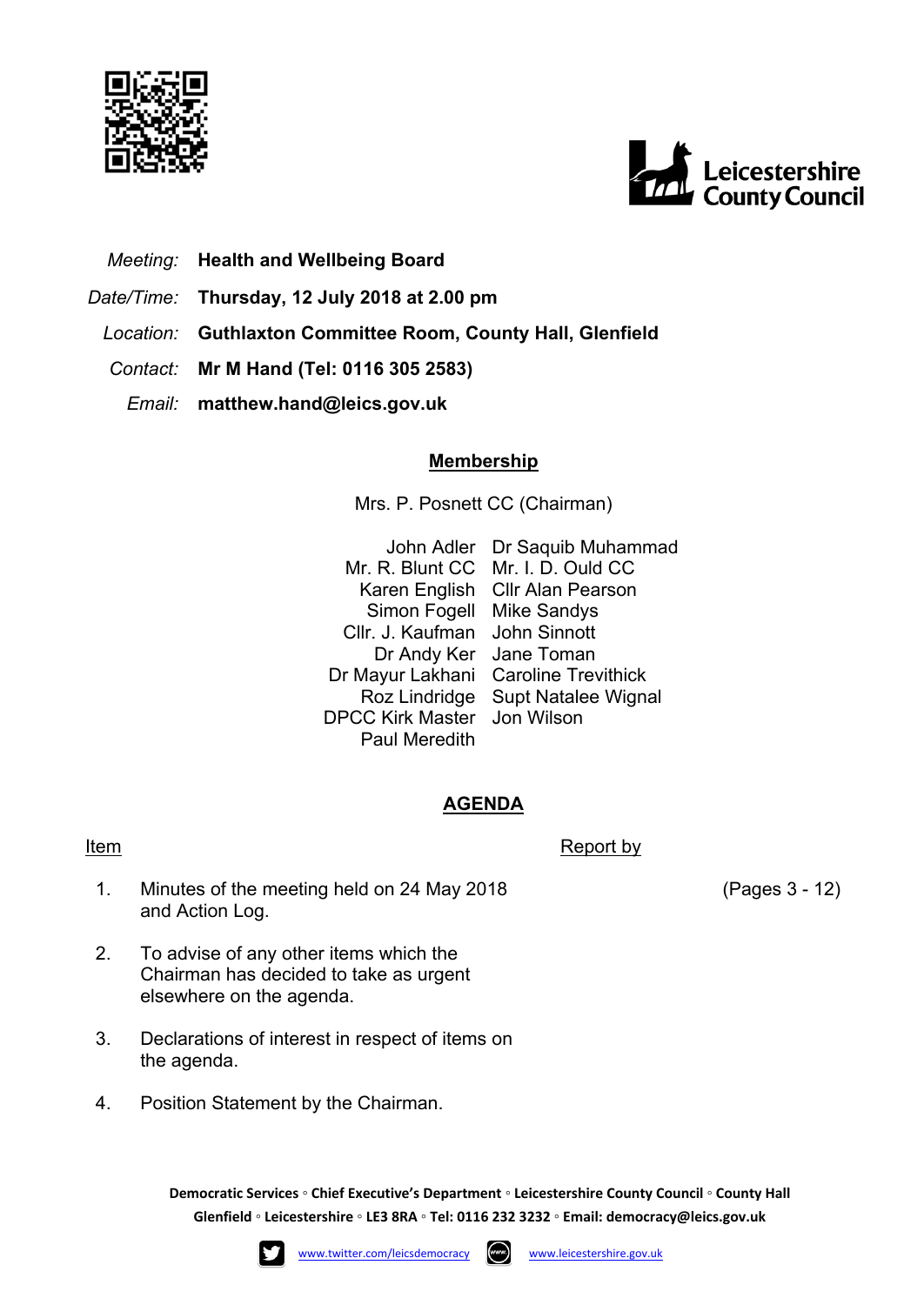



- *Meeting:* **Health and Wellbeing Board**
- *Date/Time:* **Thursday, 12 July 2018 at 2.00 pm**
	- *Location:* **Guthlaxton Committee Room, County Hall, Glenfield**
	- *Contact:* **Mr M Hand (Tel: 0116 305 2583)**
		- *Email:* **matthew.hand@leics.gov.uk**

## **Membership**

Mrs. P. Posnett CC (Chairman)

John Adler Dr Saquib Muhammad Mr. R. Blunt CC Mr. I. D. Ould CC Karen English Cllr Alan Pearson Simon Fogell Mike Sandys Cllr. J. Kaufman John Sinnott Dr Andy Ker Jane Toman Dr Mayur Lakhani Caroline Trevithick Roz Lindridge Supt Natalee Wignal DPCC Kirk Master Jon Wilson Paul Meredith

## **AGENDA**

## Item Report by Report by Report by Report by Report by Report by Report by Report by Report by  $\mathbb{R}$

- 1. Minutes of the meeting held on 24 May 2018 and Action Log.
- 2. To advise of any other items which the Chairman has decided to take as urgent elsewhere on the agenda.
- 3. Declarations of interest in respect of items on the agenda.
- 4. Position Statement by the Chairman.

**Democratic Services ◦ Chief Executive's Department ◦ Leicestershire County Council ◦ County Hall Glenfield ◦ Leicestershire ◦ LE3 8RA ◦ Tel: 0116 232 3232 ◦ Email: [democracy@leics.gov.uk](mailto:democracy@leics.gov.uk)**





(Pages 3 - 12)